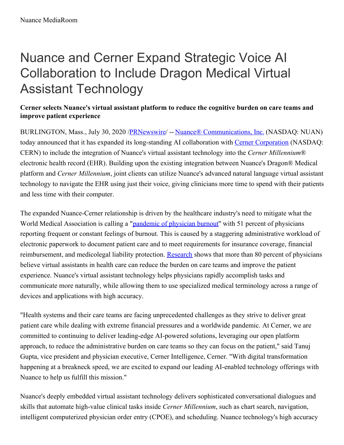# Nuance and Cerner Expand Strategic Voice AI Collaboration to Include Dragon Medical Virtual Assistant Technology

## **Cerner selects Nuance's virtual assistant platform to reduce the cognitive burden on care teams and improve patient experience**

BURLINGTON, Mass., July 30, 2020 /**PRNewswire/** -- Nuance<sup>®</sup> [Communications,](https://c212.net/c/link/?t=0&l=en&o=2870919-1&h=3843342344&u=https%3A%2F%2Fwww.nuance.com%2F&a=Nuance%C2%AE+Communications%2C+Inc.) Inc. (NASDAQ: NUAN) today announced that it has expanded its long-standing AI collaboration with Cerner [Corporation](https://c212.net/c/link/?t=0&l=en&o=2870919-1&h=2488055440&u=http%3A%2F%2Fwww.cerner.com%2F&a=Cerner+Corporation) (NASDAQ: CERN) to include the integration of Nuance's virtual assistant technology into the *Cerner Millennium*® electronic health record (EHR). Building upon the existing integration between Nuance's Dragon® Medical platform and *Cerner Millennium*, joint clients can utilize Nuance's advanced natural language virtual assistant technology to navigate the EHR using just their voice, giving clinicians more time to spend with their patients and less time with their computer.

The expanded Nuance-Cerner relationship is driven by the healthcare industry's need to mitigate what the World Medical Association is calling a ["pandemic](https://c212.net/c/link/?t=0&l=en&o=2870919-1&h=465231983&u=https%3A%2F%2Fwww.wma.net%2Fnews-post%2Fwma-leader-warns-of-global-physician-burnout%2F&a=pandemic+of+physician+burnout) of physician burnout" with 51 percent of physicians reporting frequent or constant feelings of burnout. This is caused by a staggering administrative workload of electronic paperwork to document patient care and to meet requirements for insurance coverage, financial reimbursement, and medicolegal liability protection. [Research](https://c212.net/c/link/?t=0&l=en&o=2870919-1&h=2736515171&u=https%3A%2F%2Fwww.nuance.com%2Fabout-us%2Fnewsroom%2Fpress-releases%2F2019%2FNuance-Brings-Virtual-Assistant-Technology-to-All-DMO-Users.html&a=Research) shows that more than 80 percent of physicians believe virtual assistants in health care can reduce the burden on care teams and improve the patient experience. Nuance's virtual assistant technology helps physicians rapidly accomplish tasks and communicate more naturally, while allowing them to use specialized medical terminology across a range of devices and applications with high accuracy.

"Health systems and their care teams are facing unprecedented challenges as they strive to deliver great patient care while dealing with extreme financial pressures and a worldwide pandemic. At Cerner, we are committed to continuing to deliver leading-edge AI-powered solutions, leveraging our open platform approach, to reduce the administrative burden on care teams so they can focus on the patient," said Tanuj Gupta, vice president and physician executive, Cerner Intelligence, Cerner. "With digital transformation happening at a breakneck speed, we are excited to expand our leading AI-enabled technology offerings with Nuance to help us fulfill this mission."

Nuance's deeply embedded virtual assistant technology delivers sophisticated conversational dialogues and skills that automate high-value clinical tasks inside *Cerner Millennium*, such as chart search, navigation, intelligent computerized physician order entry (CPOE), and scheduling. Nuance technology's high accuracy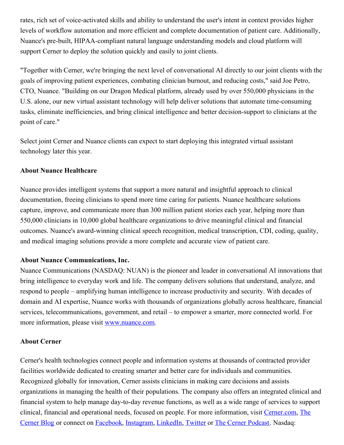rates, rich set of voice-activated skills and ability to understand the user's intent in context provides higher levels of workflow automation and more efficient and complete documentation of patient care. Additionally, Nuance's pre-built, HIPAA-compliant natural language understanding models and cloud platform will support Cerner to deploy the solution quickly and easily to joint clients.

"Together with Cerner, we're bringing the next level of conversational AI directly to our joint clients with the goals of improving patient experiences, combating clinician burnout, and reducing costs," said Joe Petro, CTO, Nuance. "Building on our Dragon Medical platform, already used by over 550,000 physicians in the U.S. alone, our new virtual assistant technology will help deliver solutions that automate time-consuming tasks, eliminate inefficiencies, and bring clinical intelligence and better decision-support to clinicians at the point of care."

Select joint Cerner and Nuance clients can expect to start deploying this integrated virtual assistant technology later this year.

#### **About Nuance Healthcare**

Nuance provides intelligent systems that support a more natural and insightful approach to clinical documentation, freeing clinicians to spend more time caring for patients. Nuance healthcare solutions capture, improve, and communicate more than 300 million patient stories each year, helping more than 550,000 clinicians in 10,000 global healthcare organizations to drive meaningful clinical and financial outcomes. Nuance's award-winning clinical speech recognition, medical transcription, CDI, coding, quality, and medical imaging solutions provide a more complete and accurate view of patient care.

#### **About Nuance Communications, Inc.**

Nuance Communications (NASDAQ: NUAN) is the pioneer and leader in conversational AI innovations that bring intelligence to everyday work and life. The company delivers solutions that understand, analyze, and respond to people – amplifying human intelligence to increase productivity and security. With decades of domain and AI expertise, Nuance works with thousands of organizations globally across healthcare, financial services, telecommunications, government, and retail – to empower a smarter, more connected world. For more information, please visit [www.nuance.com](https://c212.net/c/link/?t=0&l=en&o=2870919-1&h=617191952&u=http%3A%2F%2Fwww.nuance.com%2F&a=www.nuance.com).

#### **About Cerner**

Cerner's health technologies connect people and information systems at thousands of contracted provider facilities worldwide dedicated to creating smarter and better care for individuals and communities. Recognized globally for innovation, Cerner assists clinicians in making care decisions and assists organizations in managing the health of their populations. The company also offers an integrated clinical and financial system to help manage day-to-day revenue functions, as well as a wide range of services to support clinical, financial and operational needs, focused on people. For more [information,](https://c212.net/c/link/?t=0&l=en&o=2870919-1&h=3542553453&u=https%3A%2F%2Fwww.cerner.com%2Fperspectives&a=The+Cerner+Blog) visit [Cerner.com,](https://c212.net/c/link/?t=0&l=en&o=2870919-1&h=591475873&u=https%3A%2F%2Fwww.cerner.com%2F&a=Cerner.com) The Cerner Blog or connect on [Facebook](https://c212.net/c/link/?t=0&l=en&o=2870919-1&h=1463912328&u=https%3A%2F%2Fwww.facebook.com%2FCerner%2F&a=Facebook), [Instagram](https://c212.net/c/link/?t=0&l=en&o=2870919-1&h=1895534473&u=https%3A%2F%2Fwww.instagram.com%2Fcernercorporation%2F&a=Instagram), [LinkedIn](https://c212.net/c/link/?t=0&l=en&o=2870919-1&h=575170557&u=https%3A%2F%2Fwww.linkedin.com%2Fcompany%2Fcerner-corporation%2F&a=LinkedIn), [Twitter](https://c212.net/c/link/?t=0&l=en&o=2870919-1&h=3841113275&u=https%3A%2F%2Ftwitter.com%2FCerner&a=Twitter) or The Cerner [Podcast](https://c212.net/c/link/?t=0&l=en&o=2870919-1&h=334318335&u=https%3A%2F%2Fwww.cerner.com%2Fperspectives&a=The+Cerner+Podcast). Nasdaq: